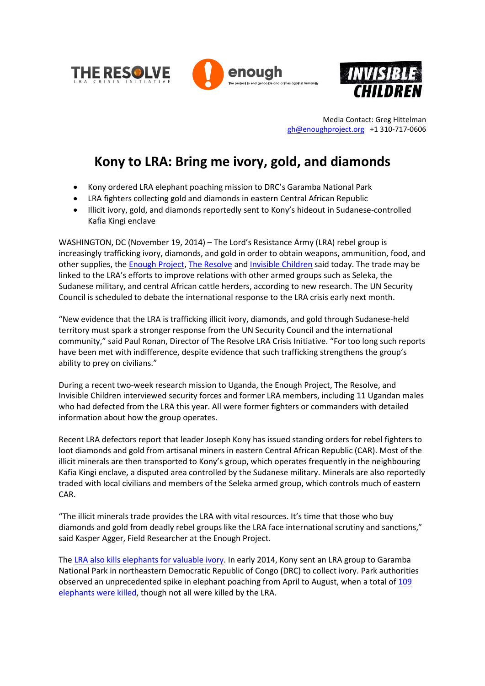





Media Contact: Greg Hittelman [gh@enoughproject.org](mailto:gh@enoughproject.org) +1 310-717-0606

## **Kony to LRA: Bring me ivory, gold, and diamonds**

- Kony ordered LRA elephant poaching mission to DRC's Garamba National Park
- LRA fighters collecting gold and diamonds in eastern Central African Republic
- Illicit ivory, gold, and diamonds reportedly sent to Kony's hideout in Sudanese-controlled Kafia Kingi enclave

WASHINGTON, DC (November 19, 2014) – The Lord's Resistance Army (LRA) rebel group is increasingly trafficking ivory, diamonds, and gold in order to obtain weapons, ammunition, food, and other supplies, the [Enough Project,](http://enoughproject.org/) [The Resolve](http://www.theresolve.org/) and [Invisible Children](http://invisiblechildren.com/) said today. The trade may be linked to the LRA's efforts to improve relations with other armed groups such as Seleka, the Sudanese military, and central African cattle herders, according to new research. The UN Security Council is scheduled to debate the international response to the LRA crisis early next month.

"New evidence that the LRA is trafficking illicit ivory, diamonds, and gold through Sudanese-held territory must spark a stronger response from the UN Security Council and the international community," said Paul Ronan, Director of The Resolve LRA Crisis Initiative. "For too long such reports have been met with indifference, despite evidence that such trafficking strengthens the group's ability to prey on civilians."

During a recent two-week research mission to Uganda, the Enough Project, The Resolve, and Invisible Children interviewed security forces and former LRA members, including 11 Ugandan males who had defected from the LRA this year. All were former fighters or commanders with detailed information about how the group operates.

Recent LRA defectors report that leader Joseph Kony has issued standing orders for rebel fighters to loot diamonds and gold from artisanal miners in eastern Central African Republic (CAR). Most of the illicit minerals are then transported to Kony's group, which operates frequently in the neighbouring Kafia Kingi enclave, a disputed area controlled by the Sudanese military. Minerals are also reportedly traded with local civilians and members of the Seleka armed group, which controls much of eastern CAR.

"The illicit minerals trade provides the LRA with vital resources. It's time that those who buy diamonds and gold from deadly rebel groups like the LRA face international scrutiny and sanctions," said Kasper Agger, Field Researcher at the Enough Project.

The LRA also kills [elephants for valuable ivory.](http://www.enoughproject.org/files/KonysIvory.pdf) In early 2014, Kony sent an LRA group to Garamba National Park in northeastern Democratic Republic of Congo (DRC) to collect ivory. Park authorities observed an unprecedented spike in elephant poaching from April to August, when a total of [109](http://www.african-parks.org/Blog_150_Update%3A+Garamba+National+Parks+Poaching+Crisis.html)  [elephants were killed,](http://www.african-parks.org/Blog_150_Update%3A+Garamba+National+Parks+Poaching+Crisis.html) though not all were killed by the LRA.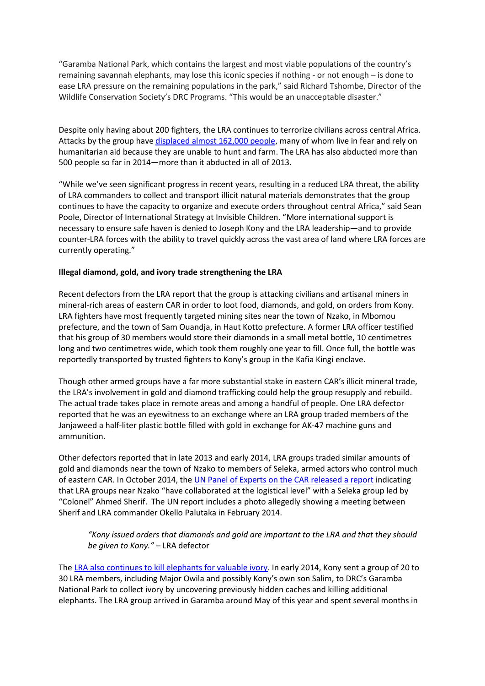"Garamba National Park, which contains the largest and most viable populations of the country's remaining savannah elephants, may lose this iconic species if nothing - or not enough – is done to ease LRA pressure on the remaining populations in the park," said Richard Tshombe, Director of the Wildlife Conservation Society's DRC Programs. "This would be an unacceptable disaster."

Despite only having about 200 fighters, the LRA continues to terrorize civilians across central Africa. Attacks by the group have [displaced almost 162,000 people,](http://reliefweb.int/report/south-sudan/lra-regional-update-central-african-republic-dr-congo-and-south-sudan-july) many of whom live in fear and rely on humanitarian aid because they are unable to hunt and farm. The LRA has also abducted more than 500 people so far in 2014—more than it abducted in all of 2013.

"While we've seen significant progress in recent years, resulting in a reduced LRA threat, the ability of LRA commanders to collect and transport illicit natural materials demonstrates that the group continues to have the capacity to organize and execute orders throughout central Africa," said Sean Poole, Director of International Strategy at Invisible Children. "More international support is necessary to ensure safe haven is denied to Joseph Kony and the LRA leadership—and to provide counter-LRA forces with the ability to travel quickly across the vast area of land where LRA forces are currently operating."

## **Illegal diamond, gold, and ivory trade strengthening the LRA**

Recent defectors from the LRA report that the group is attacking civilians and artisanal miners in mineral-rich areas of eastern CAR in order to loot food, diamonds, and gold, on orders from Kony. LRA fighters have most frequently targeted mining sites near the town of Nzako, in Mbomou prefecture, and the town of Sam Ouandja, in Haut Kotto prefecture. A former LRA officer testified that his group of 30 members would store their diamonds in a small metal bottle, 10 centimetres long and two centimetres wide, which took them roughly one year to fill. Once full, the bottle was reportedly transported by trusted fighters to Kony's group in the Kafia Kingi enclave.

Though other armed groups have a far more substantial stake in eastern CAR's illicit mineral trade, the LRA's involvement in gold and diamond trafficking could help the group resupply and rebuild. The actual trade takes place in remote areas and among a handful of people. One LRA defector reported that he was an eyewitness to an exchange where an LRA group traded members of the Janjaweed a half-liter plastic bottle filled with gold in exchange for AK-47 machine guns and ammunition.

Other defectors reported that in late 2013 and early 2014, LRA groups traded similar amounts of gold and diamonds near the town of Nzako to members of Seleka, armed actors who control much of eastern CAR. In October 2014, the [UN Panel of Experts on the CAR released a report](http://www.un.org/ga/search/view_doc.asp?symbol=S/2014/762) indicating that LRA groups near Nzako "have collaborated at the logistical level" with a Seleka group led by "Colonel" Ahmed Sherif. The UN report includes a photo allegedly showing a meeting between Sherif and LRA commander Okello Palutaka in February 2014.

*"Kony issued orders that diamonds and gold are important to the LRA and that they should be given to Kony."* – LRA defector

The LRA also continues to kill [elephants for valuable ivory.](http://www.enoughproject.org/files/KonysIvory.pdf) In early 2014, Kony sent a group of 20 to 30 LRA members, including Major Owila and possibly Kony's own son Salim, to DRC's Garamba National Park to collect ivory by uncovering previously hidden caches and killing additional elephants. The LRA group arrived in Garamba around May of this year and spent several months in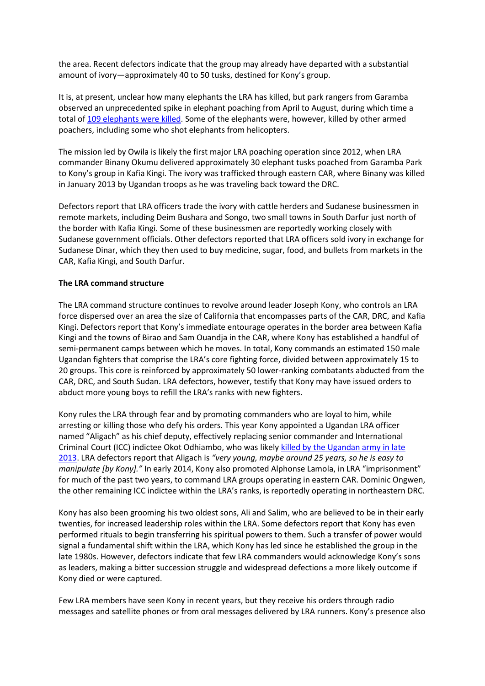the area. Recent defectors indicate that the group may already have departed with a substantial amount of ivory—approximately 40 to 50 tusks, destined for Kony's group.

It is, at present, unclear how many elephants the LRA has killed, but park rangers from Garamba observed an unprecedented spike in elephant poaching from April to August, during which time a total of [109 elephants were](http://www.african-parks.org/Blog_150_Update%3A+Garamba+National+Parks+Poaching+Crisis.html) killed. Some of the elephants were, however, killed by other armed poachers, including some who shot elephants from helicopters.

The mission led by Owila is likely the first major LRA poaching operation since 2012, when LRA commander Binany Okumu delivered approximately 30 elephant tusks poached from Garamba Park to Kony's group in Kafia Kingi. The ivory was trafficked through eastern CAR, where Binany was killed in January 2013 by Ugandan troops as he was traveling back toward the DRC.

Defectors report that LRA officers trade the ivory with cattle herders and Sudanese businessmen in remote markets, including Deim Bushara and Songo, two small towns in South Darfur just north of the border with Kafia Kingi. Some of these businessmen are reportedly working closely with Sudanese government officials. Other defectors reported that LRA officers sold ivory in exchange for Sudanese Dinar, which they then used to buy medicine, sugar, food, and bullets from markets in the CAR, Kafia Kingi, and South Darfur.

## **The LRA command structure**

The LRA command structure continues to revolve around leader Joseph Kony, who controls an LRA force dispersed over an area the size of California that encompasses parts of the CAR, DRC, and Kafia Kingi. Defectors report that Kony's immediate entourage operates in the border area between Kafia Kingi and the towns of Birao and Sam Ouandja in the CAR, where Kony has established a handful of semi-permanent camps between which he moves. In total, Kony commands an estimated 150 male Ugandan fighters that comprise the LRA's core fighting force, divided between approximately 15 to 20 groups. This core is reinforced by approximately 50 lower-ranking combatants abducted from the CAR, DRC, and South Sudan. LRA defectors, however, testify that Kony may have issued orders to abduct more young boys to refill the LRA's ranks with new fighters.

Kony rules the LRA through fear and by promoting commanders who are loyal to him, while arresting or killing those who defy his orders. This year Kony appointed a Ugandan LRA officer named "Aligach" as his chief deputy, effectively replacing senior commander and International Criminal Court (ICC) indictee Okot Odhiambo, who was likely [killed by the Ugandan army in late](http://www.reuters.com/article/2014/02/17/us-uganda-kony-idUSBREA1G15E20140217) [2013.](http://www.reuters.com/article/2014/02/17/us-uganda-kony-idUSBREA1G15E20140217) LRA defectors report that Aligach is *"very young, maybe around 25 years, so he is easy to manipulate [by Kony]."* In early 2014, Kony also promoted Alphonse Lamola, in LRA "imprisonment" for much of the past two years, to command LRA groups operating in eastern CAR. Dominic Ongwen, the other remaining ICC indictee within the LRA's ranks, is reportedly operating in northeastern DRC.

Kony has also been grooming his two oldest sons, Ali and Salim, who are believed to be in their early twenties, for increased leadership roles within the LRA. Some defectors report that Kony has even performed rituals to begin transferring his spiritual powers to them. Such a transfer of power would signal a fundamental shift within the LRA, which Kony has led since he established the group in the late 1980s. However, defectors indicate that few LRA commanders would acknowledge Kony's sons as leaders, making a bitter succession struggle and widespread defections a more likely outcome if Kony died or were captured.

Few LRA members have seen Kony in recent years, but they receive his orders through radio messages and satellite phones or from oral messages delivered by LRA runners. Kony's presence also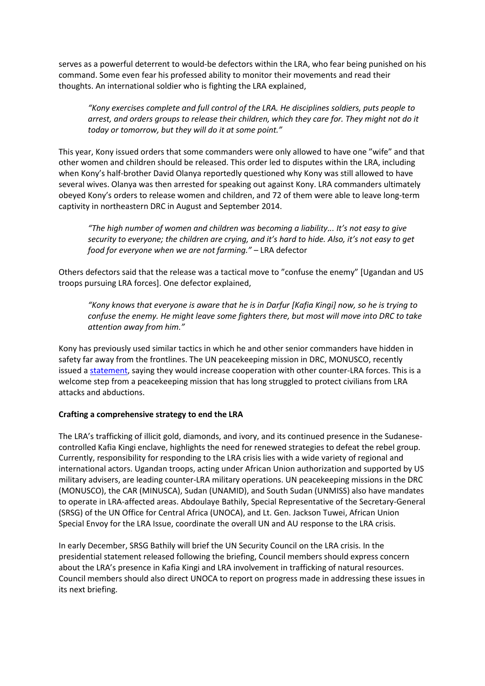serves as a powerful deterrent to would-be defectors within the LRA, who fear being punished on his command. Some even fear his professed ability to monitor their movements and read their thoughts. An international soldier who is fighting the LRA explained,

*"Kony exercises complete and full control of the LRA. He disciplines soldiers, puts people to arrest, and orders groups to release their children, which they care for. They might not do it today or tomorrow, but they will do it at some point."*

This year, Kony issued orders that some commanders were only allowed to have one "wife" and that other women and children should be released. This order led to disputes within the LRA, including when Kony's half-brother David Olanya reportedly questioned why Kony was still allowed to have several wives. Olanya was then arrested for speaking out against Kony. LRA commanders ultimately obeyed Kony's orders to release women and children, and 72 of them were able to leave long-term captivity in northeastern DRC in August and September 2014.

*"The high number of women and children was becoming a liability... It's not easy to give security to everyone; the children are crying, and it's hard to hide. Also, it's not easy to get food for everyone when we are not farming."* – LRA defector

Others defectors said that the release was a tactical move to "confuse the enemy" [Ugandan and US troops pursuing LRA forces]. One defector explained,

*"Kony knows that everyone is aware that he is in Darfur [Kafia Kingi] now, so he is trying to confuse the enemy. He might leave some fighters there, but most will move into DRC to take attention away from him."*

Kony has previously used similar tactics in which he and other senior commanders have hidden in safety far away from the frontlines. The UN peacekeeping mission in DRC, MONUSCO, recently issued [a statement,](http://monusco.unmissions.org/Default.aspx?tabid=11469&ctl=Details&mid=14883&Itemid=20708&language=en-US) saying they would increase cooperation with other counter-LRA forces. This is a welcome step from a peacekeeping mission that has long struggled to protect civilians from LRA attacks and abductions.

## **Crafting a comprehensive strategy to end the LRA**

The LRA's trafficking of illicit gold, diamonds, and ivory, and its continued presence in the Sudanesecontrolled Kafia Kingi enclave, highlights the need for renewed strategies to defeat the rebel group. Currently, responsibility for responding to the LRA crisis lies with a wide variety of regional and international actors. Ugandan troops, acting under African Union authorization and supported by US military advisers, are leading counter-LRA military operations. UN peacekeeping missions in the DRC (MONUSCO), the CAR (MINUSCA), Sudan (UNAMID), and South Sudan (UNMISS) also have mandates to operate in LRA-affected areas. Abdoulaye Bathily, Special Representative of the Secretary-General (SRSG) of the UN Office for Central Africa (UNOCA), and Lt. Gen. Jackson Tuwei, African Union Special Envoy for the LRA Issue, coordinate the overall UN and AU response to the LRA crisis.

In early December, SRSG Bathily will brief the UN Security Council on the LRA crisis. In the presidential statement released following the briefing, Council members should express concern about the LRA's presence in Kafia Kingi and LRA involvement in trafficking of natural resources. Council members should also direct UNOCA to report on progress made in addressing these issues in its next briefing.